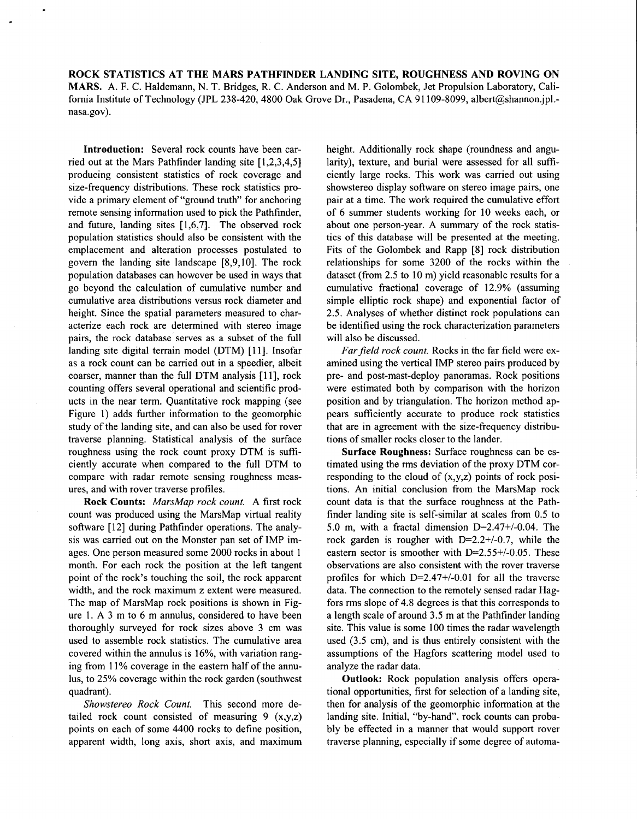**ROCK STATISTICS AT THE MARS PATHFINDER LANDING SITE, ROUGHNESS AND ROVING ON MARS.** A. F. C. Haldemann, N. T. Bridges, R. C. Anderson and M. P. Golombek, Jet Propulsion Laboratory, California Institute of Technology (JPL 238-420, 4800 Oak Grove Dr., Pasadena, CA 91109-8099, albert@shannon.jpl.nasa.gov).

**Introduction:** Several rock counts have been carried out at the Mars Pathfinder landing site [ 1,2,3,4,5] producing consistent statistics of rock coverage and size-frequency distributions. These rock statistics provide a primary element of "ground truth" for anchoring remote sensing information used to pick the Pathfinder, and future, landing sites [1,6,7]. The observed rock population statistics should also be consistent with the emplacement and alteration processes postulated to govern the landing site landscape [8,9,10]. The rock population databases can however be used in ways that go beyond the calculation of cumulative number and cumulative area distributions versus rock diameter and height. Since the spatial parameters measured to characterize each rock are determined with stereo image pairs, the rock database serves as a subset of the full landing site digital terrain model (DTM) [11]. Insofar as a rock count can be carried out in a speedier, albeit coarser, manner than the full DTM analysis [ 111, rock counting offers several operational and scientific products in the near term. Quantitative rock mapping (see Figure 1) adds further information to the geomorphic study of the landing site, and can also be used for rover traverse planning. Statistical analysis of the surface roughness using the rock count proxy DTM is sufficiently accurate when compared to the full DTM to compare with radar remote sensing roughness measures, and with rover traverse profiles.

**Rock Counts:** *MarsMap rock count.* A first rock count was produced using the MarsMap virtual reality software [12] during Pathfinder operations. The analysis was carried out on the Monster pan set of IMP images. One person measured some 2000 rocks in about 1 month. For each rock the position at the left tangent point of the rock's touching the soil, the rock apparent width, and the rock maximum z extent were measured. The map of MarsMap rock positions is shown in Figure **1.** A 3 m to 6 m annulus, considered to have been thoroughly surveyed for rock sizes above 3 cm was used to assemble rock statistics. The cumulative area covered within the annulus is 16%, with variation ranging from 11% coverage in the eastern half of the annulus, to 25% coverage within the rock garden (southwest quadrant).

*Showstereo Rock Count.* This second more detailed rock count consisted of measuring  $9(x,y,z)$ points on each of some 4400 rocks to define position, apparent width, long axis, short axis, and maximum height. Additionally rock shape (roundness and angularity), texture, and burial were assessed for all sufficiently large rocks. This work was carried out using showstereo display software on stereo image pairs, one pair at a time. The work required the cumulative effort of 6 summer students working for 10 weeks each, or about one person-year. **A** summary of the rock statistics of this database will be presented at the meeting. Fits of the Golombek and Rapp **[8]** rock distribution relationships for some 3200 of the rocks within the dataset (from 2.5 to 10 m) yield reasonable results for a cumulative fractional coverage of 12.9% (assuming simple elliptic rock shape) and exponential factor of 2.5. Analyses of whether distinct rock populations can be identified using the rock characterization parameters will also be discussed.

Far field rock count. Rocks in the far field were examined using the vertical IMP stereo pairs produced by pre- and post-mast-deploy panoramas. Rock positions were estimated both by comparison with the horizon position and by triangulation. The horizon method appears sufficiently accurate to produce rock statistics that are in agreement with the size-frequency distributions of smaller rocks closer to the lander.

**Surface Roughness:** Surface roughness can be estimated using the rms deviation of the proxy DTM corresponding to the cloud of  $(x,y,z)$  points of rock positions. An initial conclusion from the MarsMap rock count data is that the surface roughness at the Pathfinder landing site is self-similar at scales from 0.5 to 5.0 m, with a fractal dimension  $D=2.47+/0.04$ . The rock garden is rougher with D=2.2+/-0.7, while the eastern sector is smoother with  $D=2.55+/0.05$ . These observations are also consistent with the rover traverse profiles for which  $D=2.47+/0.01$  for all the traverse data. The connection to the remotely sensed radar Hagfors rms slope of 4.8 degrees is that this corresponds to a length scale of around 3.5 m at the Pathfinder landing site. This value is some 100 times the radar wavelength used (3.5 cm), and is thus entirely consistent with the assumptions of the Hagfors scattering model used to analyze the radar data.

**Outlook:** Rock population analysis offers operational opportunities, first for selection of a landing site, then for analysis of the geomorphic information at the landing site. Initial, "by-hand", rock counts can probably be effected in a manner that would support rover traverse planning, especially if some degree of automa